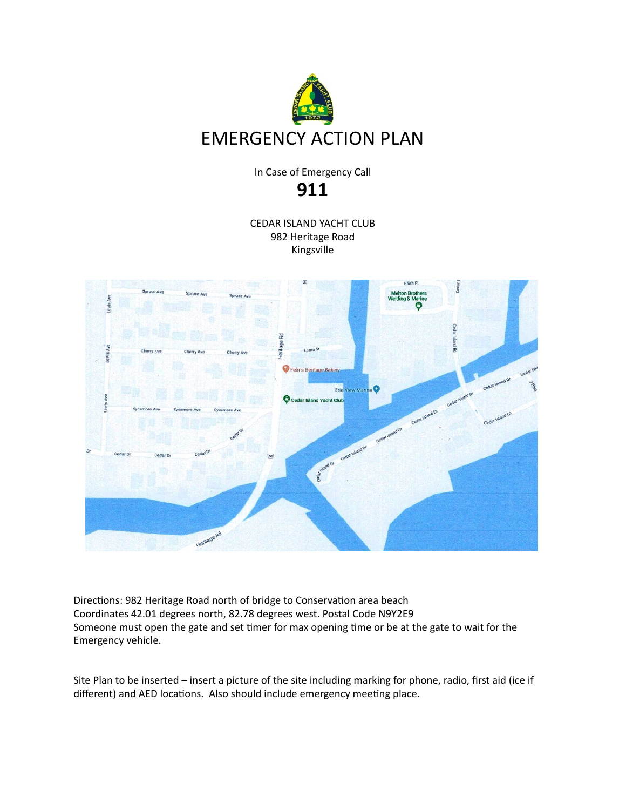

In Case of Emergency Call **911**

CEDAR ISLAND YACHT CLUB 982 Heritage Road Kingsville



Directions: 982 Heritage Road north of bridge to Conservation area beach Coordinates 42.01 degrees north, 82.78 degrees west. Postal Code N9Y2E9 Someone must open the gate and set timer for max opening time or be at the gate to wait for the Emergency vehicle.

Site Plan to be inserted – insert a picture of the site including marking for phone, radio, first aid (ice if different) and AED locations. Also should include emergency meeting place.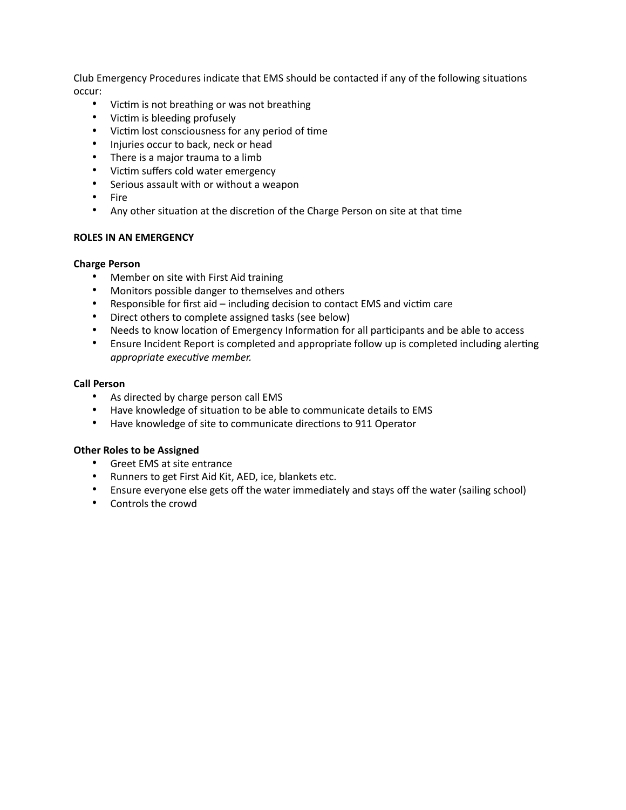Club Emergency Procedures indicate that EMS should be contacted if any of the following situations occur:

- Victim is not breathing or was not breathing
- Victim is bleeding profusely
- Victim lost consciousness for any period of time
- Injuries occur to back, neck or head
- There is a major trauma to a limb
- Victim suffers cold water emergency
- Serious assault with or without a weapon
- Fire
- Any other situation at the discretion of the Charge Person on site at that time

## **ROLES IN AN EMERGENCY**

## **Charge Person**

- Member on site with First Aid training
- Monitors possible danger to themselves and others
- Responsible for first aid including decision to contact EMS and victim care
- Direct others to complete assigned tasks (see below)
- Needs to know location of Emergency Information for all participants and be able to access
- Ensure Incident Report is completed and appropriate follow up is completed including alerting *appropriate executive member.*

## **Call Person**

- As directed by charge person call EMS
- Have knowledge of situation to be able to communicate details to EMS
- Have knowledge of site to communicate directions to 911 Operator

## **Other Roles to be Assigned**

- Greet EMS at site entrance
- Runners to get First Aid Kit, AED, ice, blankets etc.
- Ensure everyone else gets off the water immediately and stays off the water (sailing school)
- Controls the crowd